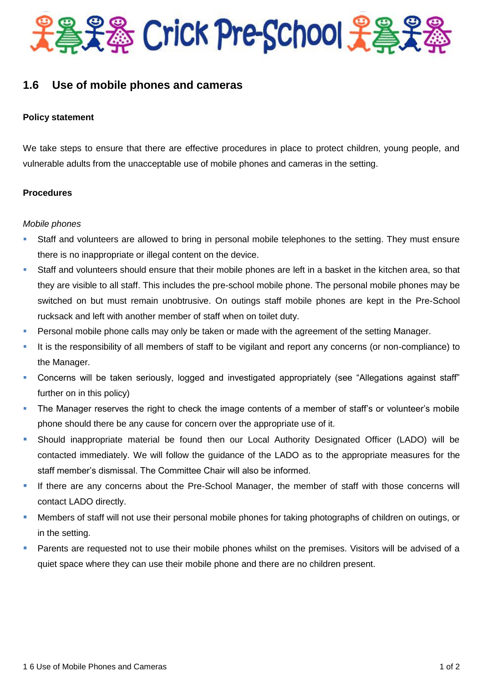

# **1.6 Use of mobile phones and cameras**

## **Policy statement**

We take steps to ensure that there are effective procedures in place to protect children, young people, and vulnerable adults from the unacceptable use of mobile phones and cameras in the setting.

### **Procedures**

### *Mobile phones*

- Staff and volunteers are allowed to bring in personal mobile telephones to the setting. They must ensure there is no inappropriate or illegal content on the device.
- Staff and volunteers should ensure that their mobile phones are left in a basket in the kitchen area, so that they are visible to all staff. This includes the pre-school mobile phone. The personal mobile phones may be switched on but must remain unobtrusive. On outings staff mobile phones are kept in the Pre-School rucksack and left with another member of staff when on toilet duty.
- **Personal mobile phone calls may only be taken or made with the agreement of the setting Manager.**
- It is the responsibility of all members of staff to be vigilant and report any concerns (or non-compliance) to the Manager.
- Concerns will be taken seriously, logged and investigated appropriately (see "Allegations against staff" further on in this policy)
- **The Manager reserves the right to check the image contents of a member of staff's or volunteer's mobile** phone should there be any cause for concern over the appropriate use of it.
- Should inappropriate material be found then our Local Authority Designated Officer (LADO) will be contacted immediately. We will follow the guidance of the LADO as to the appropriate measures for the staff member's dismissal. The Committee Chair will also be informed.
- If there are any concerns about the Pre-School Manager, the member of staff with those concerns will contact LADO directly.
- Members of staff will not use their personal mobile phones for taking photographs of children on outings, or in the setting.
- Parents are requested not to use their mobile phones whilst on the premises. Visitors will be advised of a quiet space where they can use their mobile phone and there are no children present.